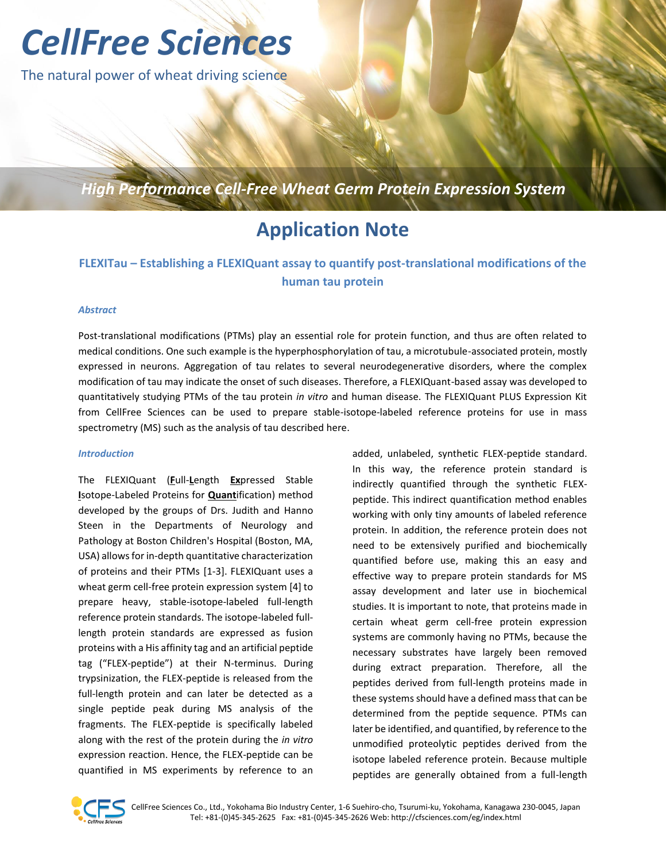# *CellFree Sciences*

The natural power of wheat driving science

*High Performance Cell-Free Wheat Germ Protein Expression System*

# **Application Note**

### **FLEXITau – Establishing a FLEXIQuant assay to quantify post-translational modifications of the human tau protein**

#### *Abstract*

Post-translational modifications (PTMs) play an essential role for protein function, and thus are often related to medical conditions. One such example is the hyperphosphorylation of tau, a microtubule-associated protein, mostly expressed in neurons. Aggregation of tau relates to several neurodegenerative disorders, where the complex modification of tau may indicate the onset of such diseases. Therefore, a FLEXIQuant-based assay was developed to quantitatively studying PTMs of the tau protein *in vitro* and human disease. The FLEXIQuant PLUS Expression Kit from CellFree Sciences can be used to prepare stable-isotope-labeled reference proteins for use in mass spectrometry (MS) such as the analysis of tau described here.

#### *Introduction*

The FLEXIQuant (**F**ull-**L**ength **Ex**pressed Stable **I**sotope-Labeled Proteins for **Quant**ification) method developed by the groups of Drs. Judith and Hanno Steen in the Departments of Neurology and Pathology at Boston Children's Hospital (Boston, MA, USA) allows for in-depth quantitative characterization of proteins and their PTMs [\[1-3\]](#page-3-0). FLEXIQuant uses a wheat germ cell-free protein expression system [\[4\]](#page-3-1) to prepare heavy, stable-isotope-labeled full-length reference protein standards. The isotope-labeled fulllength protein standards are expressed as fusion proteins with a His affinity tag and an artificial peptide tag ("FLEX-peptide") at their N-terminus. During trypsinization, the FLEX-peptide is released from the full-length protein and can later be detected as a single peptide peak during MS analysis of the fragments. The FLEX-peptide is specifically labeled along with the rest of the protein during the *in vitro* expression reaction. Hence, the FLEX-peptide can be quantified in MS experiments by reference to an added, unlabeled, synthetic FLEX-peptide standard. In this way, the reference protein standard is indirectly quantified through the synthetic FLEXpeptide. This indirect quantification method enables working with only tiny amounts of labeled reference protein. In addition, the reference protein does not need to be extensively purified and biochemically quantified before use, making this an easy and effective way to prepare protein standards for MS assay development and later use in biochemical studies. It is important to note, that proteins made in certain wheat germ cell-free protein expression systems are commonly having no PTMs, because the necessary substrates have largely been removed during extract preparation. Therefore, all the peptides derived from full-length proteins made in these systems should have a defined mass that can be determined from the peptide sequence. PTMs can later be identified, and quantified, by reference to the unmodified proteolytic peptides derived from the isotope labeled reference protein. Because multiple peptides are generally obtained from a full-length

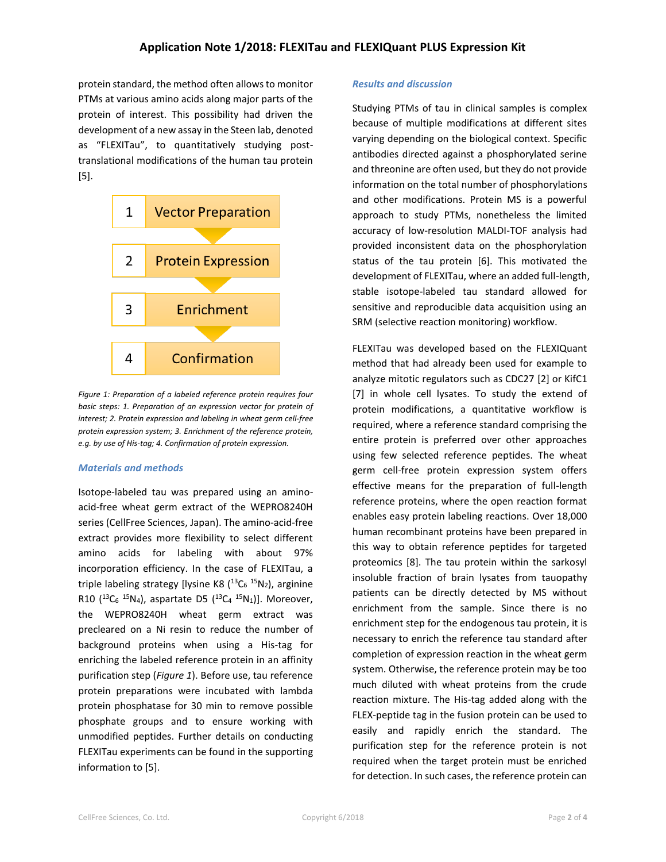protein standard, the method often allows to monitor PTMs at various amino acids along major parts of the protein of interest. This possibility had driven the development of a new assay in the Steen lab, denoted as "FLEXITau", to quantitatively studying posttranslational modifications of the human tau protein [\[5\]](#page-3-2).



*Figure 1: Preparation of a labeled reference protein requires four basic steps: 1. Preparation of an expression vector for protein of interest; 2. Protein expression and labeling in wheat germ cell-free protein expression system; 3. Enrichment of the reference protein, e.g. by use of His-tag; 4. Confirmation of protein expression.*

#### *Materials and methods*

Isotope-labeled tau was prepared using an aminoacid-free wheat germ extract of the WEPRO8240H series (CellFree Sciences, Japan). The amino-acid-free extract provides more flexibility to select different amino acids for labeling with about 97% incorporation efficiency. In the case of FLEXITau, a triple labeling strategy [lysine K8 (<sup>13</sup>C<sub>6</sub> <sup>15</sup>N<sub>2</sub>), arginine R10 ( ${}^{13}C_6$   ${}^{15}N_4$ ), aspartate D5 ( ${}^{13}C_4$   ${}^{15}N_1$ )]. Moreover, the WEPRO8240H wheat germ extract was precleared on a Ni resin to reduce the number of background proteins when using a His-tag for enriching the labeled reference protein in an affinity purification step (*Figure 1*). Before use, tau reference protein preparations were incubated with lambda protein phosphatase for 30 min to remove possible phosphate groups and to ensure working with unmodified peptides. Further details on conducting FLEXITau experiments can be found in the supporting information to [\[5\]](#page-3-2).

#### *Results and discussion*

Studying PTMs of tau in clinical samples is complex because of multiple modifications at different sites varying depending on the biological context. Specific antibodies directed against a phosphorylated serine and threonine are often used, but they do not provide information on the total number of phosphorylations and other modifications. Protein MS is a powerful approach to study PTMs, nonetheless the limited accuracy of low-resolution MALDI-TOF analysis had provided inconsistent data on the phosphorylation status of the tau protein [\[6\]](#page-3-3). This motivated the development of FLEXITau, where an added full-length, stable isotope-labeled tau standard allowed for sensitive and reproducible data acquisition using an SRM (selective reaction monitoring) workflow.

FLEXITau was developed based on the FLEXIQuant method that had already been used for example to analyze mitotic regulators such as CDC27 [\[2\]](#page-3-4) or KifC1 [\[7\]](#page-3-5) in whole cell lysates. To study the extend of protein modifications, a quantitative workflow is required, where a reference standard comprising the entire protein is preferred over other approaches using few selected reference peptides. The wheat germ cell-free protein expression system offers effective means for the preparation of full-length reference proteins, where the open reaction format enables easy protein labeling reactions. Over 18,000 human recombinant proteins have been prepared in this way to obtain reference peptides for targeted proteomics [\[8\]](#page-3-6). The tau protein within the sarkosyl insoluble fraction of brain lysates from tauopathy patients can be directly detected by MS without enrichment from the sample. Since there is no enrichment step for the endogenous tau protein, it is necessary to enrich the reference tau standard after completion of expression reaction in the wheat germ system. Otherwise, the reference protein may be too much diluted with wheat proteins from the crude reaction mixture. The His-tag added along with the FLEX-peptide tag in the fusion protein can be used to easily and rapidly enrich the standard. The purification step for the reference protein is not required when the target protein must be enriched for detection. In such cases, the reference protein can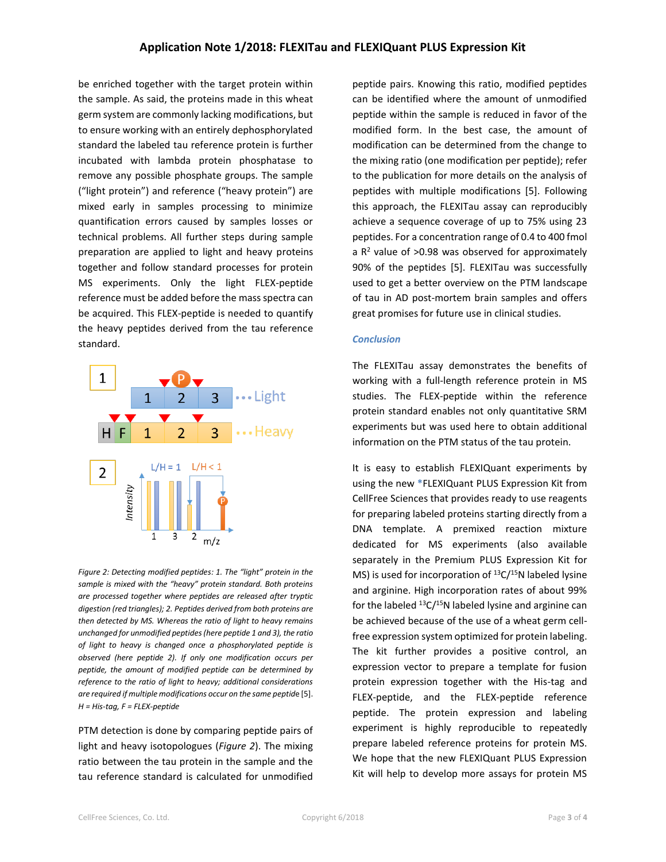#### **Application Note 1/2018: FLEXITau and FLEXIQuant PLUS Expression Kit**

be enriched together with the target protein within the sample. As said, the proteins made in this wheat germ system are commonly lacking modifications, but to ensure working with an entirely dephosphorylated standard the labeled tau reference protein is further incubated with lambda protein phosphatase to remove any possible phosphate groups. The sample ("light protein") and reference ("heavy protein") are mixed early in samples processing to minimize quantification errors caused by samples losses or technical problems. All further steps during sample preparation are applied to light and heavy proteins together and follow standard processes for protein MS experiments. Only the light FLEX-peptide reference must be added before the mass spectra can be acquired. This FLEX-peptide is needed to quantify the heavy peptides derived from the tau reference standard.



*Figure 2: Detecting modified peptides: 1. The "light" protein in the sample is mixed with the "heavy" protein standard. Both proteins are processed together where peptides are released after tryptic digestion (red triangles); 2. Peptides derived from both proteins are then detected by MS. Whereas the ratio of light to heavy remains unchanged for unmodified peptides (here peptide 1 and 3), the ratio of light to heavy is changed once a phosphorylated peptide is observed (here peptide 2). If only one modification occurs per peptide, the amount of modified peptide can be determined by reference to the ratio of light to heavy; additional considerations are required if multiple modifications occur on the same peptid*e [\[5\]](#page-3-2). *H = His-tag, F = FLEX-peptide*

PTM detection is done by comparing peptide pairs of light and heavy isotopologues (*Figure 2*). The mixing ratio between the tau protein in the sample and the tau reference standard is calculated for unmodified peptide pairs. Knowing this ratio, modified peptides can be identified where the amount of unmodified peptide within the sample is reduced in favor of the modified form. In the best case, the amount of modification can be determined from the change to the mixing ratio (one modification per peptide); refer to the publication for more details on the analysis of peptides with multiple modifications [\[5\]](#page-3-2). Following this approach, the FLEXITau assay can reproducibly achieve a sequence coverage of up to 75% using 23 peptides. For a concentration range of 0.4 to 400 fmol a  $R<sup>2</sup>$  value of >0.98 was observed for approximately 90% of the peptides [\[5\]](#page-3-2). FLEXITau was successfully used to get a better overview on the PTM landscape of tau in AD post-mortem brain samples and offers great promises for future use in clinical studies.

#### *Conclusion*

The FLEXITau assay demonstrates the benefits of working with a full-length reference protein in MS studies. The FLEX-peptide within the reference protein standard enables not only quantitative SRM experiments but was used here to obtain additional information on the PTM status of the tau protein.

It is easy to establish FLEXIQuant experiments by using the new **\***FLEXIQuant PLUS Expression Kit from CellFree Sciences that provides ready to use reagents for preparing labeled proteins starting directly from a DNA template. A premixed reaction mixture dedicated for MS experiments (also available separately in the Premium PLUS Expression Kit for MS) is used for incorporation of  $^{13}C/^{15}N$  labeled lysine and arginine. High incorporation rates of about 99% for the labeled  $^{13}C/^{15}N$  labeled lysine and arginine can be achieved because of the use of a wheat germ cellfree expression system optimized for protein labeling. The kit further provides a positive control, an expression vector to prepare a template for fusion protein expression together with the His-tag and FLEX-peptide, and the FLEX-peptide reference peptide. The protein expression and labeling experiment is highly reproducible to repeatedly prepare labeled reference proteins for protein MS. We hope that the new FLEXIQuant PLUS Expression Kit will help to develop more assays for protein MS